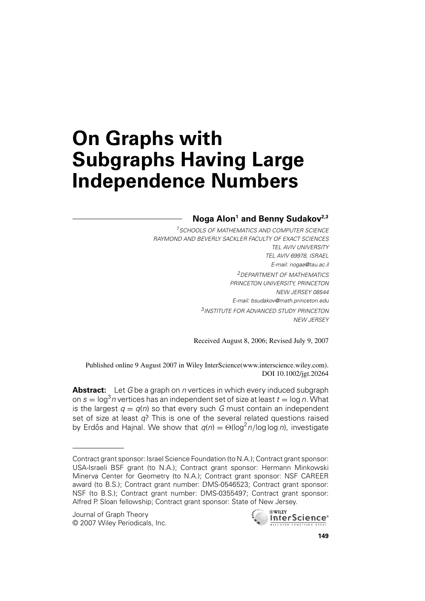# **On Graphs with Subgraphs Having Large Independence Numbers**

# **Noga Alon1 and Benny Sudakov2,3**

<sup>1</sup> SCHOOLS OF MATHEMATICS AND COMPUTER SCIENCE RAYMOND AND BEVERLY SACKLER FACULTY OF EXACT SCIENCES TEL AVIV UNIVERSITY TEL AVIV 69978, ISRAEL E-mail: nogaa@tau.ac.il 2DEPARTMENT OF MATHEMATICS PRINCETON UNIVERSITY, PRINCETON NEW JERSEY 08544 E-mail: bsudakov@math.princeton.edu 3INSTITUTE FOR ADVANCED STUDY PRINCETON NEW JERSEY

Received August 8, 2006; Revised July 9, 2007

Published online 9 August 2007 in Wiley InterScience(www.interscience.wiley.com). DOI 10.1002/jgt.20264

**Abstract:** Let G be a graph on *n* vertices in which every induced subgraph on  $s = \log^3 n$  vertices has an independent set of size at least  $t = \log n$ . What is the largest  $q = q(n)$  so that every such G must contain an independent set of size at least  $q$ ? This is one of the several related questions raised by Erdős and Hajnal. We show that  $q(n) = \Theta(\log^2 n / \log \log n)$ , investigate



Contract grant sponsor: Israel Science Foundation (to N.A.); Contract grant sponsor: USA-Israeli BSF grant (to N.A.); Contract grant sponsor: Hermann Minkowski Minerva Center for Geometry (to N.A.); Contract grant sponsor: NSF CAREER award (to B.S.); Contract grant number: DMS-0546523; Contract grant sponsor: NSF (to B.S.); Contract grant number: DMS-0355497; Contract grant sponsor: Alfred P. Sloan fellowship; Contract grant sponsor: State of New Jersey.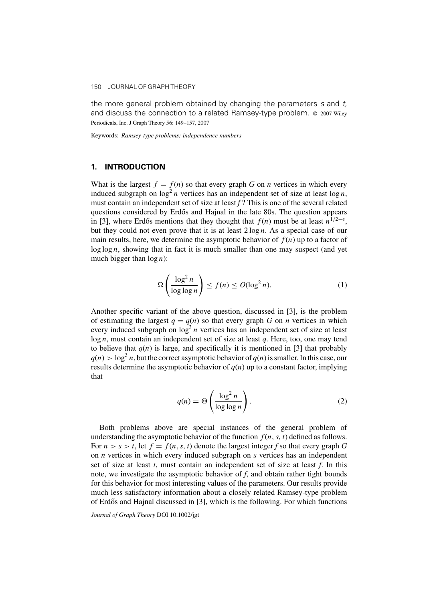the more general problem obtained by changing the parameters  $s$  and  $t$ , and discuss the connection to a related Ramsey-type problem. © 2007 Wiley Periodicals, Inc. J Graph Theory 56: 149–157, 2007

Keywords: *Ramsey-type problems; independence numbers*

#### **1. INTRODUCTION**

What is the largest  $f = f(n)$  so that every graph *G* on *n* vertices in which every induced subgraph on  $\log^2 n$  vertices has an independent set of size at least  $\log n$ , must contain an independent set of size at least *f* ? This is one of the several related questions considered by Erdős and Hajnal in the late 80s. The question appears in [\[3\],](#page-8-0) where Erdős mentions that they thought that  $f(n)$  must be at least  $n^{1/2-\epsilon}$ , but they could not even prove that it is at least  $2 \log n$ . As a special case of our main results, here, we determine the asymptotic behavior of  $f(n)$  up to a factor of  $\log \log n$ , showing that in fact it is much smaller than one may suspect (and yet much bigger than  $log n$ ):

$$
\Omega\left(\frac{\log^2 n}{\log \log n}\right) \le f(n) \le O(\log^2 n). \tag{1}
$$

Another specific variant of the above question, discussed in [\[3\],](#page-8-0) is the problem of estimating the largest  $q = q(n)$  so that every graph *G* on *n* vertices in which every induced subgraph on  $\log^3 n$  vertices has an independent set of size at least log n, must contain an independent set of size at least *q*. Here, too, one may tend to believe that  $q(n)$  is large, and specifically it is mentioned in [\[3\] t](#page-8-0)hat probably  $q(n) > \log^3 n$ , but the correct asymptotic behavior of  $q(n)$  is smaller. In this case, our results determine the asymptotic behavior of  $q(n)$  up to a constant factor, implying that

$$
q(n) = \Theta\left(\frac{\log^2 n}{\log \log n}\right). \tag{2}
$$

Both problems above are special instances of the general problem of understanding the asymptotic behavior of the function  $f(n, s, t)$  defined as follows. For  $n > s > t$ , let  $f = f(n, s, t)$  denote the largest integer *f* so that every graph *G* on *n* vertices in which every induced subgraph on *s* vertices has an independent set of size at least *t*, must contain an independent set of size at least *f*. In this note, we investigate the asymptotic behavior of *f*, and obtain rather tight bounds for this behavior for most interesting values of the parameters. Our results provide much less satisfactory information about a closely related Ramsey-type problem of Erdős and Hajnal discussed in  $[3]$ , which is the following. For which functions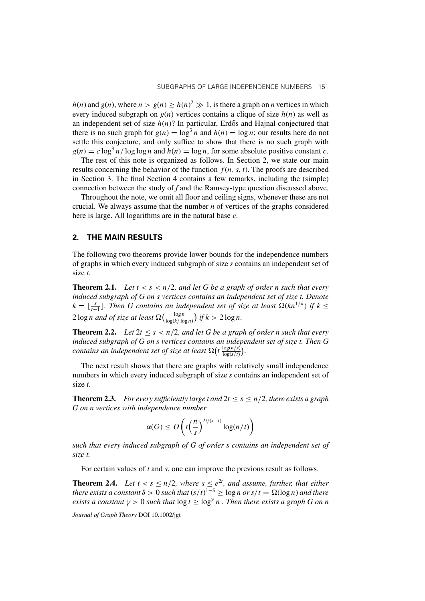$h(n)$  and  $g(n)$ , where  $n > g(n) \ge h(n)^2 \gg 1$ , is there a graph on *n* vertices in which every induced subgraph on  $g(n)$  vertices contains a clique of size  $h(n)$  as well as an independent set of size  $h(n)$ ? In particular, Erdős and Hajnal conjectured that there is no such graph for  $g(n) = \log^3 n$  and  $h(n) = \log n$ ; our results here do not settle this conjecture, and only suffice to show that there is no such graph with  $g(n) = c \log^3 n / \log \log n$  and  $h(n) = \log n$ , for some absolute positive constant *c*.

The rest of this note is organized as follows. In Section 2, we state our main results concerning the behavior of the function  $f(n, s, t)$ . The proofs are described in Section 3. The final Section 4 contains a few remarks, including the (simple) connection between the study of *f* and the Ramsey-type question discussed above.

Throughout the note, we omit all floor and ceiling signs, whenever these are not crucial. We always assume that the number *n* of vertices of the graphs considered here is large. All logarithms are in the natural base *e*.

#### **2. THE MAIN RESULTS**

The following two theorems provide lower bounds for the independence numbers of graphs in which every induced subgraph of size *s* contains an independent set of size *t*.

**Theorem 2.1.** Let  $t < s < n/2$ , and let G be a graph of order n such that every *induced subgraph of G on s vertices contains an independent set of size t. Denote*  $k = \lfloor \frac{s}{t-1} \rfloor$ . Then G contains an independent set of size at least  $\Omega(kn^{1/k})$  if  $k \leq$  $2 \log n$  and of size at least  $\Omega\left(\frac{\log n}{\log(k/\log n)}\right)$  if  $k > 2 \log n$ .

**Theorem 2.2.** *Let*  $2t \leq s < n/2$ , and let G be a graph of order n such that every *induced subgraph of G on s vertices contains an independent set of size t. Then G contains an independent set of size at least*  $\Omega(t \frac{\log(n/s)}{\log(s/t)})$ .

The next result shows that there are graphs with relatively small independence numbers in which every induced subgraph of size *s* contains an independent set of size *t*.

**Theorem 2.3.** *For every sufficiently large t and*  $2t \leq s \leq n/2$ *, there exists a graph G on n vertices with independence number*

$$
\alpha(G) \le O\left(t\left(\frac{n}{s}\right)^{2t/(s-t)}\log(n/t)\right)
$$

*such that every induced subgraph of G of order s contains an independent set of size t.*

For certain values of *t* and *s*, one can improve the previous result as follows.

**Theorem 2.4.** Let  $t < s \leq n/2$ , where  $s \leq e^{2t}$ , and assume, further, that either *there exists a constant*  $\delta > 0$  *such that*  $(s/t)^{1-\delta} \ge \log n$  *or*  $s/t = \Omega(\log n)$  *and there exists a constant*  $\gamma > 0$  *such that*  $\log t > \log^{\gamma} n$ . Then there exists a graph G on n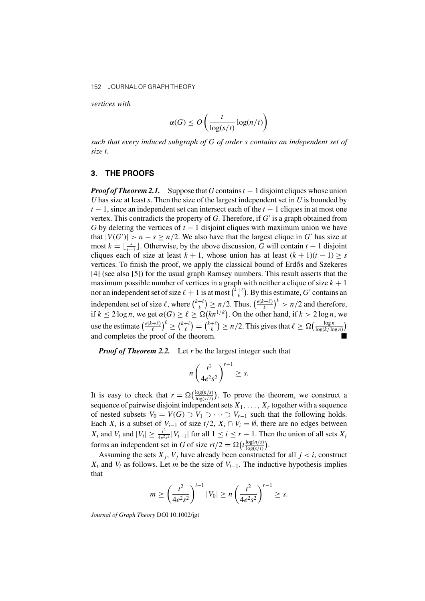*vertices with*

$$
\alpha(G) \le O\left(\frac{t}{\log(s/t)}\log(n/t)\right)
$$

*such that every induced subgraph of G of order s contains an independent set of size t.*

#### **3. THE PROOFS**

*Proof of Theorem 2.1.* Suppose that *G* contains  $t - 1$  disjoint cliques whose union *U* has size at least *s*. Then the size of the largest independent set in *U* is bounded by  $t - 1$ , since an independent set can intersect each of the  $t - 1$  cliques in at most one vertex. This contradicts the property of  $G$ . Therefore, if  $G'$  is a graph obtained from *G* by deleting the vertices of  $t - 1$  disjoint cliques with maximum union we have that  $|V(G')| > n - s \ge n/2$ . We also have that the largest clique in G' has size at most  $k = \lfloor \frac{s}{t-1} \rfloor$ . Otherwise, by the above discussion, *G* will contain  $t - 1$  disjoint cliques each of size at least  $k + 1$ , whose union has at least  $(k + 1)(t - 1) \geq s$ vertices. To finish the proof, we apply the classical bound of Erdős and Szekeres [\[4\] \(](#page-8-0)see also [\[5\]\)](#page-8-0) for the usual graph Ramsey numbers. This result asserts that the maximum possible number of vertices in a graph with neither a clique of size  $k + 1$ nor an independent set of size  $\ell + 1$  is at most  $\binom{k+\ell}{k}$ . By this estimate, G' contains an independent set of size  $\ell$ , where  $\binom{k+\ell}{k} \ge n/2$ . Thus,  $\left(\frac{e(k+\ell)}{k}\right)^k > n/2$  and therefore, if  $k \le 2 \log n$ , we get  $\alpha(G) \ge \ell \ge \Omega(kn^{1/k})$ . On the other hand, if  $k > 2 \log n$ , we use the estimate  $\left(\frac{e(k+\ell)}{\ell}\right)^{\ell} \geq {k+\ell \choose \ell} = {k+\ell \choose k} \geq n/2$ . This gives that  $\ell \geq \Omega\left(\frac{\log n}{\log(k/\log n)}\right)$ and completes the proof of the theorem.

*Proof of Theorem 2.2.* Let *r* be the largest integer such that

$$
n\left(\frac{t^2}{4e^2s^2}\right)^{r-1}\geq s.
$$

It is easy to check that  $r = \Omega(\frac{\log(n/s)}{\log(s/t)})$ . To prove the theorem, we construct a sequence of pairwise disjoint independent sets  $X_1, \ldots, X_r$  together with a sequence of nested subsets  $V_0 = V(G) \supset V_1 \supset \cdots \supset V_{r-1}$  such that the following holds. Each  $X_i$  is a subset of  $V_{i-1}$  of size  $t/2$ ,  $X_i \cap V_i = \emptyset$ , there are no edges between  $X_i$  and  $V_i$  and  $|V_i| \geq \frac{t^2}{4e^2s^2}|V_{i-1}|$  for all  $1 \leq i \leq r-1$ . Then the union of all sets  $X_i$ forms an independent set in *G* of size  $rt/2 = \Omega(t \frac{\log(n/s)}{\log(s/t)})$  $\frac{\log(n/s)}{\log(s/t)}\bigg).$ 

Assuming the sets  $X_j$ ,  $V_j$  have already been constructed for all  $j < i$ , construct  $X_i$  and  $V_i$  as follows. Let *m* be the size of  $V_{i-1}$ . The inductive hypothesis implies that

$$
m \ge \left(\frac{t^2}{4e^2s^2}\right)^{i-1} |V_0| \ge n\left(\frac{t^2}{4e^2s^2}\right)^{r-1} \ge s.
$$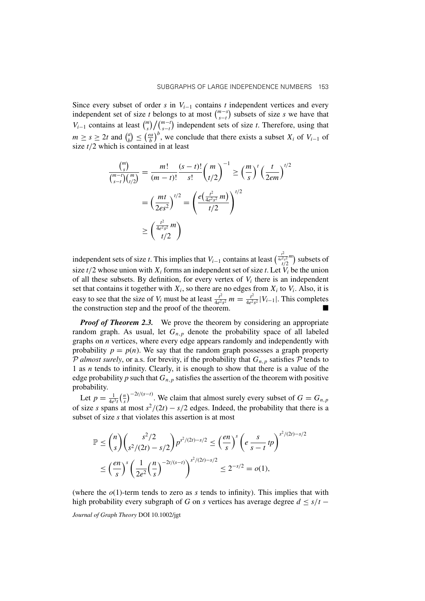Since every subset of order *s* in  $V_{i-1}$  contains *t* independent vertices and every independent set of size *t* belongs to at most  $\binom{m-s}{s-t}$  subsets of size *s* we have that  $V_{i-1}$  contains at least  $\binom{m}{s}\big/\binom{m-t}{s-t}$  independent sets of size *t*. Therefore, using that  $m \ge s \ge 2t$  and  $\binom{a}{b} \le \left(\frac{ea}{b}\right)^b$ , we conclude that there exists a subset  $X_i$  of  $V_{i-1}$  of size  $t/2$  which is contained in at least

$$
\frac{\binom{m}{s}}{\binom{m-t}{s-t}\binom{m}{t/2}} = \frac{m!}{(m-t)!} \frac{(s-t)!}{s!} \binom{m}{t/2}^{-1} \ge \left(\frac{m}{s}\right)^t \left(\frac{t}{2em}\right)^{t/2}
$$
\n
$$
= \left(\frac{mt}{2es^2}\right)^{t/2} = \left(\frac{e\left(\frac{t^2}{4e^2s^2}m\right)}{t/2}\right)^{t/2}
$$
\n
$$
\ge \left(\frac{\frac{t^2}{4e^2s^2}m}{t/2}\right)
$$

independent sets of size *t*. This implies that  $V_{i-1}$  contains at least  $\left(\frac{t^2}{t/2}\right)^{2m}$  subsets of size  $t/2$  whose union with  $X_i$  forms an independent set of size *t*. Let  $V_i$  be the union of all these subsets. By definition, for every vertex of  $V_i$  there is an independent set that contains it together with  $X_i$ , so there are no edges from  $X_i$  to  $V_i$ . Also, it is easy to see that the size of  $V_i$  must be at least  $\frac{t^2}{4e^2s^2} m = \frac{t^2}{4e^2s^2} |V_{i-1}|$ . This completes the construction step and the proof of the theorem.

*Proof of Theorem 2.3.* We prove the theorem by considering an appropriate random graph. As usual, let  $G_{n,p}$  denote the probability space of all labeled graphs on *n* vertices, where every edge appears randomly and independently with probability  $p = p(n)$ . We say that the random graph possesses a graph property P *almost surely*, or a.s. for brevity, if the probability that  $G_{n,p}$  satisfies P tends to 1 as *n* tends to infinity. Clearly, it is enough to show that there is a value of the edge probability  $p$  such that  $G_{n,p}$  satisfies the assertion of the theorem with positive probability.

Let  $p = \frac{1}{4e^3t} \left(\frac{n}{s}\right)^{-2t/(s-t)}$ . We claim that almost surely every subset of  $G = G_{n,p}$ of size *s* spans at most  $s^2/(2t) - s/2$  edges. Indeed, the probability that there is a subset of size *s* that violates this assertion is at most

$$
\mathbb{P} \le {n \choose s} {s^2/2 \choose s^2/(2t) - s/2} p^{s^2/(2t) - s/2} \le {en \choose s}^s \left( e \frac{s}{s - t} tp \right)^{s^2/(2t) - s/2}
$$
  

$$
\le {en \choose s}^s \left( \frac{1}{2e^2} {n \choose s}^{-2t/(s-t)} \right)^{s^2/(2t) - s/2} \le 2^{-s/2} = o(1),
$$

(where the  $o(1)$ -term tends to zero as *s* tends to infinity). This implies that with high probability every subgraph of *G* on *s* vertices has average degree  $d \leq s/t$  −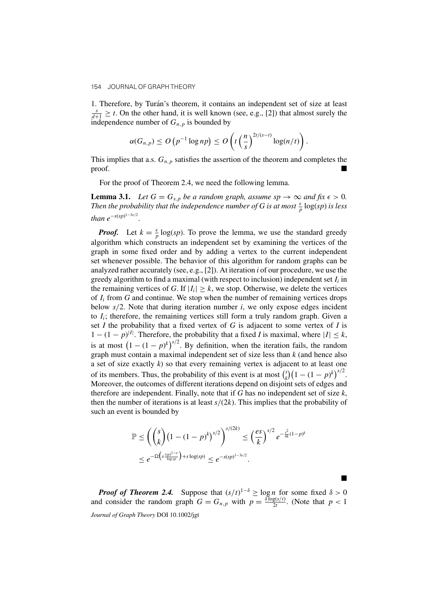1. Therefore, by Turán's theorem, it contains an independent set of size at least  $\frac{s}{d+1} \geq t$ . On the other hand, it is well known (see, e.g., [\[2\]\)](#page-8-0) that almost surely the independence number of  $G_{n,p}$  is bounded by

$$
\alpha(G_{n,p}) \leq O\left(p^{-1}\log np\right) \leq O\left(t\left(\frac{n}{s}\right)^{2t/(s-t)}\log(n/t)\right).
$$

This implies that a.s.  $G_{n,p}$  satisfies the assertion of the theorem and completes the proof.

For the proof of Theorem 2.4, we need the following lemma.

**Lemma 3.1.** *Let*  $G = G_{s,p}$  *be a random graph, assume*  $sp \to \infty$  *and fix*  $\epsilon > 0$ *.* Then the probability that the independence number of G is at most  $\frac{\epsilon}{p} \log (sp)$  is less than  $e^{-s(sp)^{1-3\epsilon/2}}$ *.*

*Proof.* Let  $k = \frac{\epsilon}{p} \log(sp)$ . To prove the lemma, we use the standard greedy algorithm which constructs an independent set by examining the vertices of the graph in some fixed order and by adding a vertex to the current independent set whenever possible. The behavior of this algorithm for random graphs can be analyzed rather accurately (see, e.g., [\[2\]\).](#page-8-0) At iteration *i* of our procedure, we use the greedy algorithm to find a maximal (with respect to inclusion) independent set  $I_i$  in the remaining vertices of *G*. If  $|I_i| \geq k$ , we stop. Otherwise, we delete the vertices of  $I_i$  from  $G$  and continue. We stop when the number of remaining vertices drops below  $s/2$ . Note that during iteration number  $i$ , we only expose edges incident to  $I_i$ ; therefore, the remaining vertices still form a truly random graph. Given a set *I* the probability that a fixed vertex of *G* is adjacent to some vertex of *I* is  $1 - (1 - p)^{|I|}$ . Therefore, the probability that a fixed *I* is maximal, where  $|I| \leq k$ , is at most  $(1 - (1 - p)^k)^{s/2}$ . By definition, when the iteration fails, the random graph must contain a maximal independent set of size less than *k* (and hence also a set of size exactly *k*) so that every remaining vertex is adjacent to at least one of its members. Thus, the probability of this event is at most  $\binom{s}{k} (1 - (1 - p)^k)^{s/2}$ . Moreover, the outcomes of different iterations depend on disjoint sets of edges and therefore are independent. Finally, note that if *G* has no independent set of size *k*, then the number of iterations is at least  $s/(2k)$ . This implies that the probability of such an event is bounded by

$$
\mathbb{P} \le \left( {s \choose k} (1 - (1 - p)^k)^{s/2} \right)^{s/(2k)} \le \left( \frac{es}{k} \right)^{s/2} e^{-\frac{s^2}{4k}(1 - p)^k}
$$
  

$$
\le e^{-\Omega \left( s \frac{(sp)^{1-\epsilon}}{\log sp} \right) + s \log(sp)} \le e^{-s(sp)^{1-3\epsilon/2}}.
$$

*Proof of Theorem 2.4.* Suppose that  $(s/t)^{1-\delta} \ge \log n$  for some fixed  $\delta > 0$ and consider the random graph  $G = G_{n,p}$  with  $p = \frac{\delta \log(s/t)}{2t}$ . (Note that  $p < 1$ *Journal of Graph Theory* DOI 10.1002/jgt

П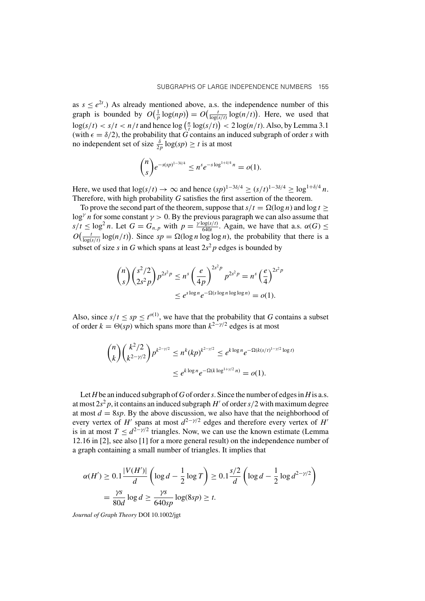as  $s \le e^{2t}$ .) As already mentioned above, a.s. the independence number of this graph is bounded by  $O(\frac{1}{p} \log(np)) = O(\frac{t}{\log(s/t)} \log(n/t))$ . Here, we used that  $\log(s/t) < s/t < n/t$  and hence  $\log(\frac{n}{t} \log(s/t)) < 2 \log(n/t)$ . Also, by Lemma 3.1 (with  $\epsilon = \delta/2$ ), the probability that *G* contains an induced subgraph of order *s* with no independent set of size  $\frac{\delta}{2p} \log (sp) \ge t$  is at most

$$
\binom{n}{s}e^{-s(sp)^{1-3\delta/4}} \leq n^s e^{-s\log^{1+\delta/4}n} = o(1).
$$

Here, we used that  $\log(s/t) \to \infty$  and hence  $(sp)^{1-3\delta/4} \ge (s/t)^{1-3\delta/4} \ge \log^{1+\delta/4} n$ . Therefore, with high probability *G* satisfies the first assertion of the theorem.

To prove the second part of the theorem, suppose that  $s/t = \Omega(\log n)$  and  $\log t \ge$ log<sup>γ</sup> n for some constant  $\gamma > 0$ . By the previous paragraph we can also assume that  $s/t \leq \log^2 n$ . Let  $G = G_{n,p}$  with  $p = \frac{\gamma \log(s/t)}{640t}$ . Again, we have that a.s.  $\alpha(G) \leq$  $O\left(\frac{t}{\log(s/t)}\log(n/t)\right)$ . Since  $sp = \Omega(\log n \log \log n)$ , the probability that there is a subset of size *s* in *G* which spans at least  $2s^2p$  edges is bounded by

$$
\binom{n}{s} \binom{s^2/2}{2s^2 p} p^{2s^2 p} \le n^s \left(\frac{e}{4p}\right)^{2s^2 p} p^{2s^2 p} = n^s \left(\frac{e}{4}\right)^{2s^2 p}
$$
  

$$
\le e^{s \log n} e^{-\Omega(s \log n \log \log n)} = o(1).
$$

Also, since  $s/t \le sp \le t^{o(1)}$ , we have that the probability that *G* contains a subset of order  $k = \Theta(sp)$  which spans more than  $k^{2-y/2}$  edges is at most

$$
\binom{n}{k} \binom{k^2/2}{k^{2-\gamma/2}} p^{k^{2-\gamma/2}} \le n^k (kp)^{k^{2-\gamma/2}} \le e^{k \log n} e^{-\Omega(k(s/t)^{1-\gamma/2} \log t)}
$$
  

$$
\le e^{k \log n} e^{-\Omega(k \log^{1+\gamma/2} n)} = o(1).
$$

Let*H*be an induced subgraph of*G*of order*s*. Since the number of edges in*H*is a.s. at most  $2s^2p$ , it contains an induced subgraph H' of order  $s/2$  with maximum degree at most  $d = 8sp$ . By the above discussion, we also have that the neighborhood of every vertex of H' spans at most  $d^{2-\gamma/2}$  edges and therefore every vertex of H' is in at most  $T \leq d^{2-\gamma/2}$  triangles. Now, we can use the known estimate (Lemma 12.16 in [\[2\], s](#page-8-0)ee also [\[1\] f](#page-8-0)or a more general result) on the independence number of a graph containing a small number of triangles. It implies that

$$
\alpha(H') \ge 0.1 \frac{|V(H')|}{d} \left( \log d - \frac{1}{2} \log T \right) \ge 0.1 \frac{s/2}{d} \left( \log d - \frac{1}{2} \log d^{2-\gamma/2} \right)
$$
  
=  $\frac{\gamma s}{80d} \log d \ge \frac{\gamma s}{640sp} \log(8sp) \ge t.$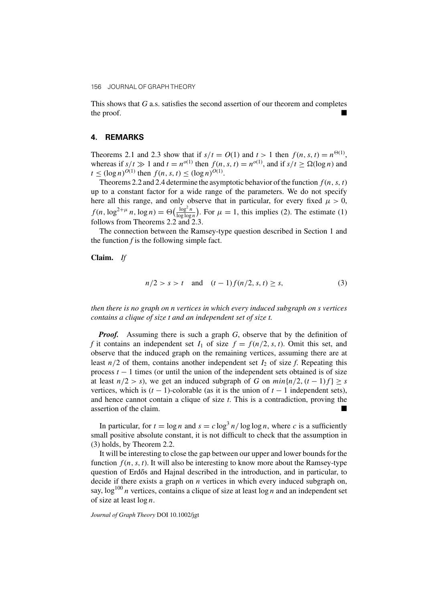This shows that *G* a.s. satisfies the second assertion of our theorem and completes the proof.

#### **4. REMARKS**

Theorems 2.1 and 2.3 show that if  $s/t = O(1)$  and  $t > 1$  then  $f(n, s, t) = n^{\Theta(1)}$ , whereas if  $s/t \gg 1$  and  $t = n^{o(1)}$  then  $f(n, s, t) = n^{o(1)}$ , and if  $s/t \ge \Omega(\log n)$  and  $t \leq (\log n)^{O(1)}$  then  $f(n, s, t) \leq (\log n)^{O(1)}$ .

Theorems 2.2 and 2.4 determine the asymptotic behavior of the function  $f(n, s, t)$ up to a constant factor for a wide range of the parameters. We do not specify here all this range, and only observe that in particular, for every fixed  $\mu > 0$ ,  $f(n, \log^{2+\mu} n, \log n) = \Theta\left(\frac{\log^2 n}{\log \log n}\right)$ . For  $\mu = 1$ , this implies (2). The estimate (1) follows from Theorems 2.2 and 2.3.

The connection between the Ramsey-type question described in Section 1 and the function  $f$  is the following simple fact.

**Claim.** *If*

$$
n/2 > s > t \quad \text{and} \quad (t-1)f(n/2, s, t) \ge s,
$$
 (3)

*then there is no graph on n vertices in which every induced subgraph on s vertices contains a clique of size t and an independent set of size t.*

*Proof.* Assuming there is such a graph *G*, observe that by the definition of f it contains an independent set  $I_1$  of size  $f = f(n/2, s, t)$ . Omit this set, and observe that the induced graph on the remaining vertices, assuming there are at least  $n/2$  of them, contains another independent set  $I_2$  of size  $f$ . Repeating this process  $t - 1$  times (or until the union of the independent sets obtained is of size at least  $n/2 > s$ ), we get an induced subgraph of *G* on  $min\{n/2, (t-1)f\} \geq s$ vertices, which is  $(t - 1)$ -colorable (as it is the union of  $t - 1$  independent sets), and hence cannot contain a clique of size *t*. This is a contradiction, proving the assertion of the claim.

In particular, for  $t = \log n$  and  $s = c \log^3 n / \log \log n$ , where *c* is a sufficiently small positive absolute constant, it is not difficult to check that the assumption in (3) holds, by Theorem 2.2.

It will be interesting to close the gap between our upper and lower bounds for the function  $f(n, s, t)$ . It will also be interesting to know more about the Ramsey-type question of Erdős and Hajnal described in the introduction, and in particular, to decide if there exists a graph on *n* vertices in which every induced subgraph on, say,  $\log^{100} n$  vertices, contains a clique of size at least  $\log n$  and an independent set of size at least  $\log n$ .